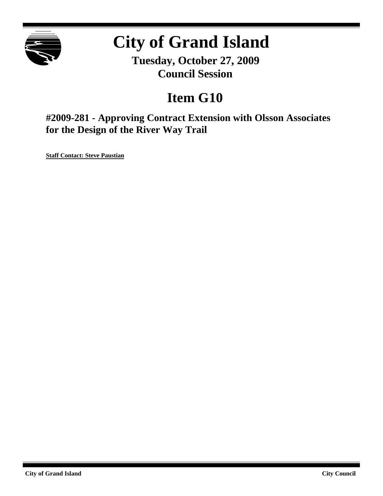

## **City of Grand Island**

**Tuesday, October 27, 2009 Council Session**

## **Item G10**

**#2009-281 - Approving Contract Extension with Olsson Associates for the Design of the River Way Trail**

**Staff Contact: Steve Paustian**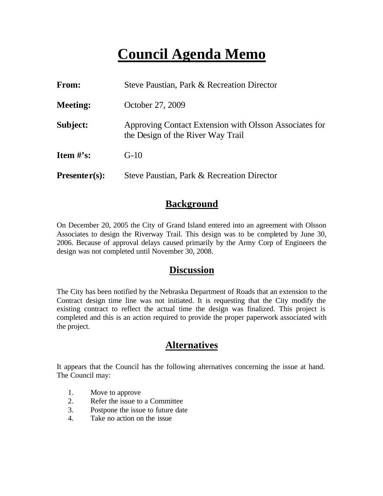## **Council Agenda Memo**

| From:                          | Steve Paustian, Park & Recreation Director                                                  |  |  |  |  |
|--------------------------------|---------------------------------------------------------------------------------------------|--|--|--|--|
| <b>Meeting:</b>                | October 27, 2009                                                                            |  |  |  |  |
| Subject:                       | Approving Contact Extension with Olsson Associates for<br>the Design of the River Way Trail |  |  |  |  |
| <b>Item <math>\#</math>'s:</b> | $G-10$                                                                                      |  |  |  |  |
| $Presenter(s):$                | Steve Paustian, Park & Recreation Director                                                  |  |  |  |  |

#### **Background**

On December 20, 2005 the City of Grand Island entered into an agreement with Olsson Associates to design the Riverway Trail. This design was to be completed by June 30, 2006. Because of approval delays caused primarily by the Army Corp of Engineers the design was not completed until November 30, 2008.

#### **Discussion**

The City has been notified by the Nebraska Department of Roads that an extension to the Contract design time line was not initiated. It is requesting that the City modify the existing contract to reflect the actual time the design was finalized. This project is completed and this is an action required to provide the proper paperwork associated with the project.

#### **Alternatives**

It appears that the Council has the following alternatives concerning the issue at hand. The Council may:

- 1. Move to approve
- 2. Refer the issue to a Committee
- 3. Postpone the issue to future date
- 4. Take no action on the issue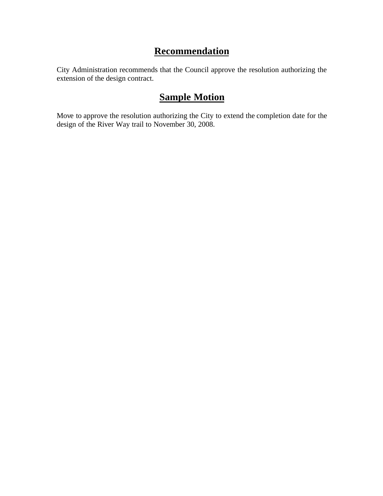#### **Recommendation**

City Administration recommends that the Council approve the resolution authorizing the extension of the design contract.

### **Sample Motion**

Move to approve the resolution authorizing the City to extend the completion date for the design of the River Way trail to November 30, 2008.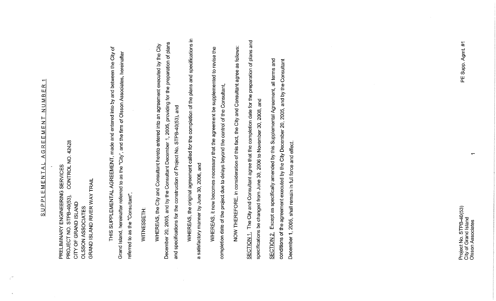## $\overline{ }$ **REEMENT NUMBER**  $\overline{A}$ SUPPLEMENTAL

 $\hat{\mathbf{q}}^{\text{exp}}$ 

CONTROL NO. 42428 PRELIMINARY ENGINEERING SERVICES GRAND ISLAND RIVER WAY TRAIL PROJECT NO. STPB-40(53), CITY OF GRAND ISLAND OLSSON ASSOCIATES

 $\overline{\sigma}$ Grand Island, hereinafter referred to as the "City", and the firm of Olsson Associates, hereinafter THIS SUPPLEMENTAL AGREEMENT, made and entered into by and between the City referred to as the "Consultant",

# WITNESSETH:

December 20, 2005, and by the Consultant December 1, 2005, providing for the preparation of plans WHEREAS, the City and Consultant hereto entered into an agreement executed by the City and specifications for the construction of Project No. STPB-40(53), and WHEREAS, the original agreement called for the completion of the plans and specifications in a satisfactory manner by June 30, 2006, and

WHEREAS, it now becomes necessary that the agreement be supplemented to revise the completion date of the project due to delays beyond the control of the Consultant, NOW THEREFORE, in consideration of this fact, the City and Consultant agree as follows:

SECTION 1. The City and Consultant agree that the completion date for the preparation of plans and specifications be changed from June 30, 2006 to November 30, 2008, and

SECTION 2. Except as specifically amended by this Supplemental Agreement, all terms and conditions of the agreement executed by the City December 20, 2005, and by the Consultant December 1, 2005, shall remain in full force and effect.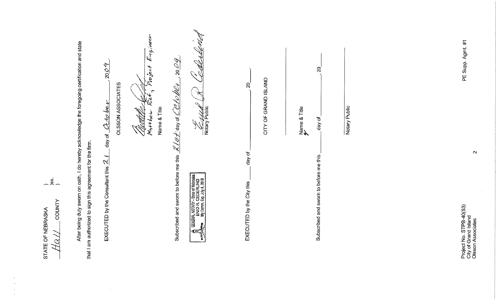|                                                        | After being duly sworn on oath, I do hereby acknowledge the foregoing certification and state | Q-<br>20 <sub>2</sub><br>OLSSON ASSOCIATES<br>$Cct$ o be v<br>day of | $E$ ngineer<br>$e_{\nu}$ ject<br>r<br>Name & Title<br>Matthew<br><u>Theolis</u> | $-2009$                                                                                                                                                         | Notary Public                                                                                   | $\mathcal{S}$                       | CITY OF GRAND ISLAND | $\mathbb{S}$<br>day of                 | Notary Public | PE Supp. Agmt. #1                                                                         |
|--------------------------------------------------------|-----------------------------------------------------------------------------------------------|----------------------------------------------------------------------|---------------------------------------------------------------------------------|-----------------------------------------------------------------------------------------------------------------------------------------------------------------|-------------------------------------------------------------------------------------------------|-------------------------------------|----------------------|----------------------------------------|---------------|-------------------------------------------------------------------------------------------|
| $-9.5$<br>COUNTY<br>STATE OF NEBRASKA<br>$\mathcal{C}$ | that I am authorized to sign this agreement for the firm.                                     | EXECUTED by the Consultant this $\mathbb{Z}/I$                       |                                                                                 | Subscribed and sworn to before me this $\mathcal{\mathscr{L}}/\mathscr{E}\neq$ day of $\mathcal{\mathcal{L}}/c$ / $\mathcal{\mathcal{U}}+\mathcal{\mathcal{U}}$ | GENERAL NOTARY - State of Nebraska<br>ENID A, CEDERLIND<br>Es My Comm, Exp, July 4, 2010<br>al≣ | day or<br>EXECUTED by the City this |                      | Subscribed and sworn to before me this |               | $\mathbf{\alpha}$<br>Project No. STPB-40(53)<br>City of Grand Island<br>Olsson Associates |

STATE OF NEBRASKA

 $\sim$ 

ķ,  $\mathcal{A}$ 

 $\bar{\nu}$ 

 $\sim$